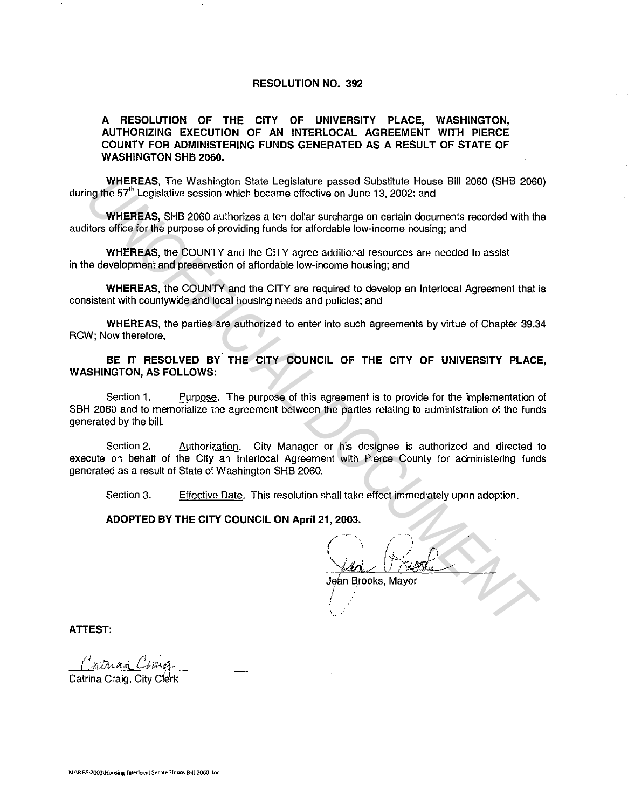#### **RESOLUTION NO. 392**

#### **A RESOLUTION OF THE CITY OF UNIVERSITY PLACE, WASHINGTON, AUTHORIZING EXECUTION OF AN INTERLOCAL AGREEMENT WITH PIERCE COUNTY FOR ADMINISTERING FUNDS GENERATED AS A RESULT OF STATE OF WASHINGTON SHB 2060.**

**WHEREAS,** The Washington State Legislature passed Substitute House Bill 2060 (SHB 2060) during the 57'h Legislative session which became effective on June 13, 2002: and

**WHEREAS,** SHB 2060 authorizes a ten dollar surcharge on certain documents recorded with the auditors office for the purpose of providing funds for affordable low-income housing; and

**WHEREAS,** the COUNTY and the CITY agree additional resources are needed to assist in the development and preservation of affordable low-income housing; and

**WHEREAS,** the COUNTY and the CITY are required to develop an lnterlocal Agreement that is consistent with countywide and local housing needs and policies; and

**WHEREAS,** the parties are authorized to enter into such agreements by virtue of Chapter 39.34 RCW; Now therefore,

**BE IT RESOLVED BY THE CITY COUNCIL OF THE CITY OF UNIVERSITY PLACE, WASHINGTON, AS FOLLOWS:** 

Section 1. Purpose. The purpose of this agreement is to provide for the implementation of SBH 2060 and to memorialize the agreement between the parties relating to administration of the funds generated by the bill. WHEREAS, The Washington State Legislature passed Substitute House Bill 2090 (SHB 2060<br>Ing the 57<sup>th</sup> Legislative session which became effective on June 13, 2002: and<br>WHEREAS, SHB 2060 authorizes a ten dollar surcharge on c

Section 2. Authorization. City Manager or his designee is authorized and directed to execute on behalf of the City an lnterlocal Agreement with Pierce County for administering funds generated as a result of State of Washington SHB 2060.

Section 3. Effective Date. This resolution shall take effect immediately upon adoption.

 $\int$ \.

**ADOPTED BY THE CITY COUNCIL ON April 21, 2003.** 

 $\subset$   $\setminus$  $\frac{1}{2}$ 

Jean Brooks, Mayor

**ATTEST:** 

Catrina Craig, City Clerk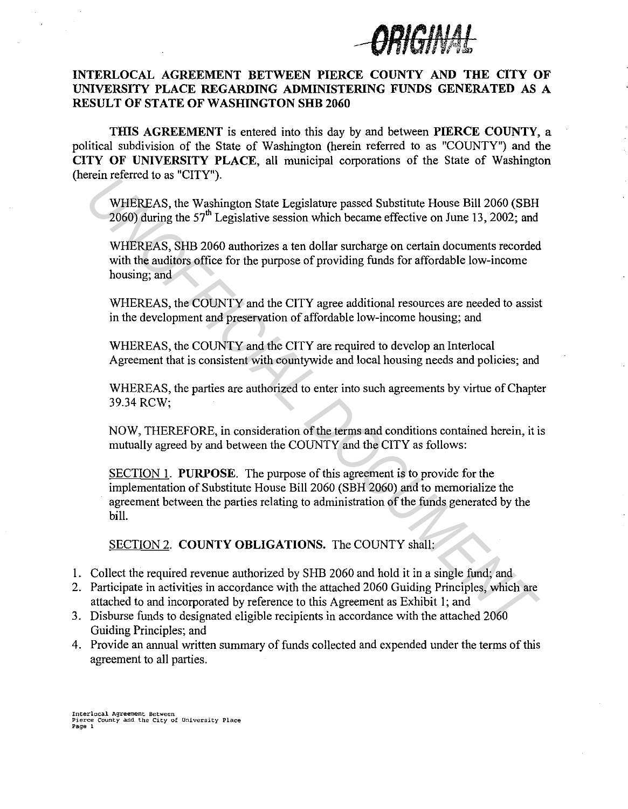

### **INTERLOCAL AGREEMENT BETWEEN PIERCE COUNTY AND THE CITY OF UNIVERSITY PLACE REGARDING ADMINISTERING FUNDS GENERATED AS A RESULT OF STATE OF WASHINGTON SHB 2060**

**THIS AGREEMENT** is entered into this day by and between **PIERCE COUNTY,** a political subdivision of the State of Washington (herein referred to as "COUNTY") and the **CITY OF UNIVERSITY PLACE,** all municipal corporations of the State of Washington (herein referred to as "CITY").

WHEREAS, the Washington State Legislature passed Substitute House Bill 2060 (SBH 2060) during the 57'h Legislative session which became effective on June 13, 2002; and

WHEREAS, SHB 2060 authorizes a ten dollar surcharge on certain documents recorded with the auditors office for the purpose of providing funds for affordable low-income housing; and

WHEREAS, the COUNTY and the CITY agree additional resources are needed to assist in the development and preservation of affordable low-income housing; and

WHEREAS, the COUNTY and the CITY are required to develop an Interlocal Agreement that is consistent with countywide and local housing needs and policies; and

WHEREAS, the parties are authorized to enter into such agreements by virtue of Chapter 39.34 RCW;

NOW, THEREFORE, in consideration of the terms and conditions contained herein, it is mutually agreed by and between the COUNTY and the CITY as follows:

SECTION I. **PURPOSE.** The purpose of this agreement is to provide for the implementation of Substitute House Bill 2060 (SBH 2060) and to memorialize the agreement between the parties relating to administration of the funds generated by the bill. **WHEREAS, the Washington State Legislature passed Substitute House Bill 2060 (SBH 2060) during the 57<sup>th</sup> Legislative session which became effective on June 13, 2002; and<br>WHEREAS, SHB 2060 authorizes a ten dollar surcharge** 

SECTION 2. **COUNTY OBLIGATIONS.** The COUNTY shall:

- I. Collect the required revenue authorized by SHB 2060 and hold it in a single fund; and
- 2. Participate in activities in accordance with the attached 2060 Guiding Principles, which are attached to and incorporated by reference to this Agreement as Exhibit 1; and
- 3. Disburse funds to designated eligible recipients in accordance with the attached 2060 Guiding Principles; and
- 4. Provide an annual written summary of funds collected and expended under the terms of this agreement to all parties.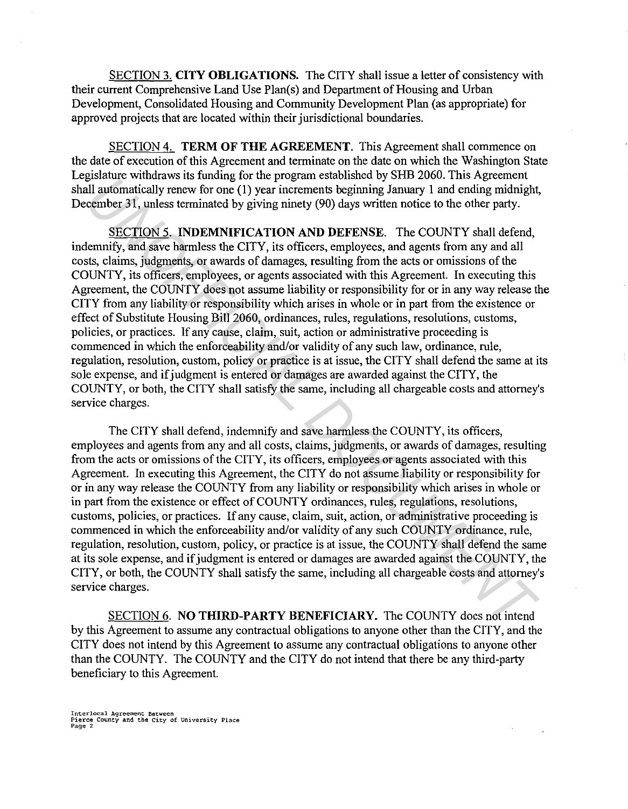SECTION 3. **CITY OBLIGATIONS.** The CITY shall issue a letter of consistency with their current Comprehensive Land Use Plan(s) and Department of Housing and Urban Development, Consolidated Housing and Community Development Plan (as appropriate) for approved projects that are located within their jurisdictional boundaries.

SECTION 4. **TERM OF THE AGREEMENT.** This Agreement shall commence on the date of execution of this Agreement and terminate on the date on which the Washington State Legislature withdraws its funding for the program established by SHB 2060. This Agreement shall automatically renew for one (1) year increments beginning January 1 and ending midnight, December 31, unless terminated by giving ninety (90) days written notice to the other party.

SECTION 5. **INDEMNIFICATION AND DEFENSE.** The COUNTY shall defend, indemnify, and save harmless the CITY, its officers, employees, and agents from any and all costs, claims, judgments, or awards of damages, resulting from the acts or omissions of the COUNTY, its officers, employees, or agents associated with this Agreement. In executing this Agreement, the COUNTY does not assume liability or responsibility for or in any way release the CITY from any liability or responsibility which arises in whole or in part from the existence or effect of Substitute Housing Bill 2060, ordinances, rules, regulations, resolutions, customs, policies, or practices. If any cause, claim, suit, action or administrative proceeding is commenced in which the enforceability and/or validity of any such law, ordinance, rule, regulation, resolution, custom, policy or practice is at issue, the CITY shall defend the same at its sole expense, and if judgment is entered or damages are awarded against the CITY, the COUNTY, or both, the CITY shall satisfy the same, including all chargeable costs and attorney's service charges. gistanct windiness is training for the program essamment of since the same and a different winding middle and a different and the same is the coUNTY shall defended by since the semi-meter (90) days written notice to the ot

The CITY shall defend, indemnify and save harmless the COUNTY, its officers, employees and agents from any and all costs, claims, judgments, or awards of damages, resulting from the acts or omissions of the CITY, its officers, employees or agents associated with this Agreement. In executing this Agreement, the CITY do not assume liability or responsibility for or in any way release the COUNTY from any liability or responsibility which arises in whole or in part from the existence or effect of COUNTY ordinances, rules, regulations, resolutions, customs, policies, or practices. If any cause, claim, suit, action, or administrative proceeding is commenced in which the enforceability and/or validity of any such COUNTY ordinance, rule, regulation, resolution, custom, policy, or practice is at issue, the COUNTY shall defend the same at its sole expense, and if judgment is entered or damages are awarded against the COUNTY, the CITY, or both, the COUNTY shall satisfy the same, including all chargeable costs and attorney's service charges.

SECTION 6. **NO THIRD-PARTY BENEFICIARY.** The COUNTY does not intend by this Agreement to assume any contractual obligations to anyone other than the CITY, and the CITY does not intend by this Agreement to assume any contractual obligations to anyone other than the COUNTY. The COUNTY and the CITY do not intend that there be any third-party beneficiary to this Agreement.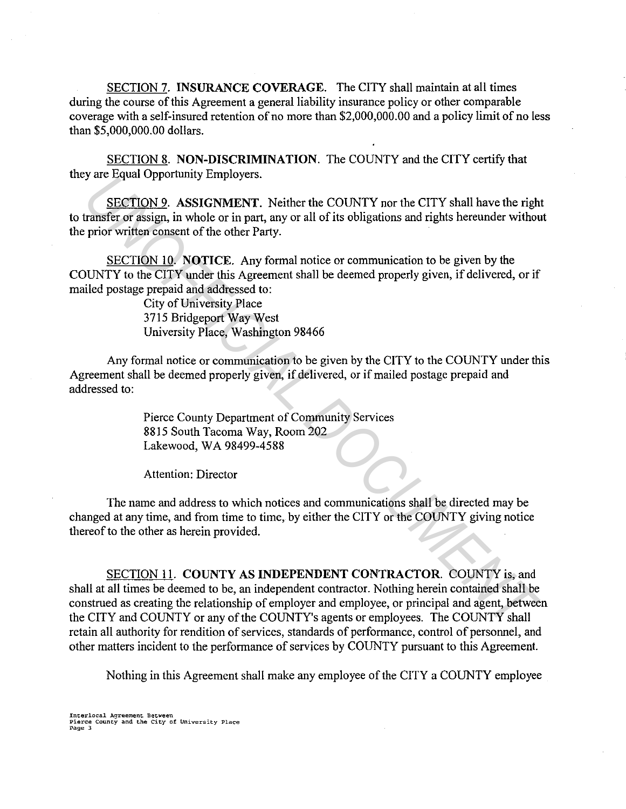SECTION 7. **INSURANCE COVERAGE.** The CITY shall maintain at all times during the course of this Agreement a general liability insurance policy or other comparable coverage with a self-insured retention of no more than \$2,000,000.00 and a policy limit of no less than \$5,000,000.00 dollars.

SECTION 8. **NON-DISCRIMINATION.** The COUNTY and the CITY certify that they are Equal Opportunity Employers.

SECTION 9. **ASSIGNMENT.** Neither the COUNTY nor the CITY shall have the right to transfer or assign, in whole or in part, any or all of its obligations and rights hereunder without the prior written consent of the other Party.

SECTION 10. **NOTICE.** Any formal notice or communication to be given by the COUNTY to the CITY under this Agreement shall be deemed properly given, if delivered, or if mailed postage prepaid and addressed to:

> City of University Place 3715 Bridgeport Way West University Place, Washington 98466

Any formal notice or communication to be given by the CITY to the COUNTY under this Agreement shall be deemed properly given, if delivered, or if mailed postage prepaid and addressed to:

> Pierce County Department of Community Services 8815 South Tacoma Way, Room 202 Lakewood, WA 98499-4588

Attention: Director

The name and address to which notices and communications shall be directed may be changed at any time, and from time to time, by either the CITY or the COUNTY giving notice thereof to the other as herein provided.

SECTION 11. **COUNTY AS INDEPENDENT CONTRACTOR.** COUNTY is, and shall at all times be deemed to be, an independent contractor. Nothing herein contained shall be construed as creating the relationship of employer and employee, or principal and agent, between the CITY and COUNTY or any of the COUNTY's agents or employees. The COUNTY shall retain all authority for rendition of services, standards of performance, control of personnel, and other matters incident to the performance of services by COUNTY pursuant to this Agreement. *SECTION 9.* AssEGNMENT. Neither the COUNTY nor the CITY shall have the right contents of the solution of the shall of its obligations and rights bereunder without prior written consent of the other Party.<br>
SECTION 10. NOT

Nothing in this Agreement shall make any employee of the CITY a COUNTY employee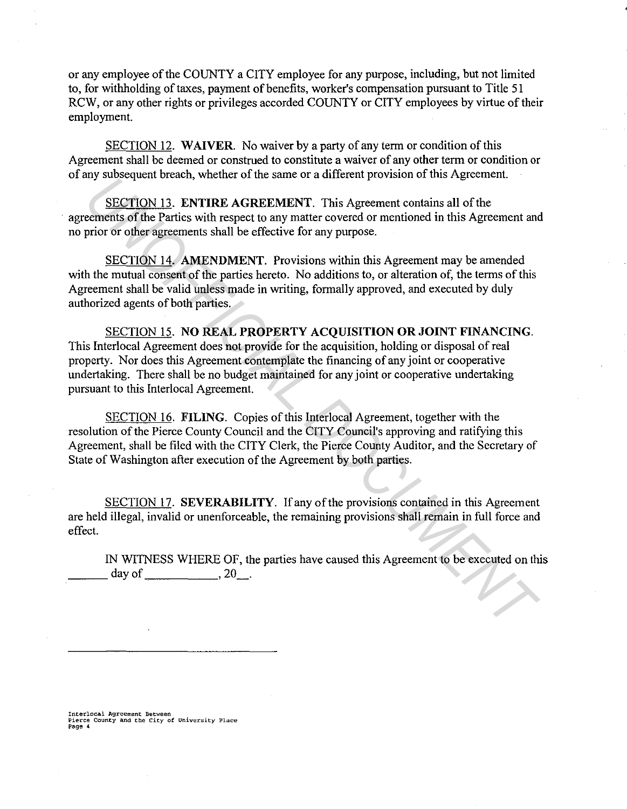or any employee of the COUNTY a CITY employee for any purpose, including, but not limited to, for withholding of taxes, payment of benefits, worker's compensation pursuant to Title 51 RCW, or any other rights or privileges accorded COUNTY or CITY employees by virtue of their employment.

SECTION 12. **W AIYER.** No waiver by a party of any term or condition of this Agreement shall be deemed or construed to constitute a waiver of any other term or condition or of any subsequent breach, whether of the same or a different provision of this Agreement.

SECTION 13. **ENTIRE AGREEMENT.** This Agreement contains all of the agreements of the Parties with respect to any matter covered or mentioned in this Agreement and no prior or other agreements shall be effective for any purpose.

SECTION 14. **AMENDMENT.** Provisions within this Agreement may be amended with the mutual consent of the parties hereto. No additions to, or alteration of, the terms of this Agreement shall be valid unless made in writing, formally approved, and executed by duly authorized agents of both parties.

SECTION 15. **NO REAL PROPERTY ACQUISITION OR JOINT FINANCING.**  This Interlocal Agreement does not provide for the acquisition, holding or disposal of real property. Nor does this Agreement contemplate the financing of any joint or cooperative undertaking. There shall be no budget maintained for any joint or cooperative undertaking pursuant to this Interlocal Agreement. *UN* SECTION 13. ENTIRE AGREEMENTY. This Agreement to state of the same of a dimension of this agreement.<br>
SECTION 14. ENTIRE AGREEMENT, This Agreement contains all of the<br>
EFIRENT DEVIRE AGREEMENT. This Agreement and the

SECTION 16. **FILING.** Copies of this Interlocal Agreement, together with the resolution of the Pierce County Council and the CITY Council's approving and ratifying this Agreement, shall be filed with the CITY Clerk, the Pierce County Auditor, and the Secretary of State of Washington after execution of the Agreement by both parties.

SECTION 17. **SEVERABILITY.** If any of the provisions contained in this Agreement are held illegal, invalid or unenforceable, the remaining provisions shall remain in full force and effect.

IN WITNESS WHERE OF, the parties have caused this Agreement to be executed on this  $\frac{day}{}$  of  $\frac{20}{x}$ .

Interlocal Agreement Between<br>Pierce County and the City of University Place<br>Page 4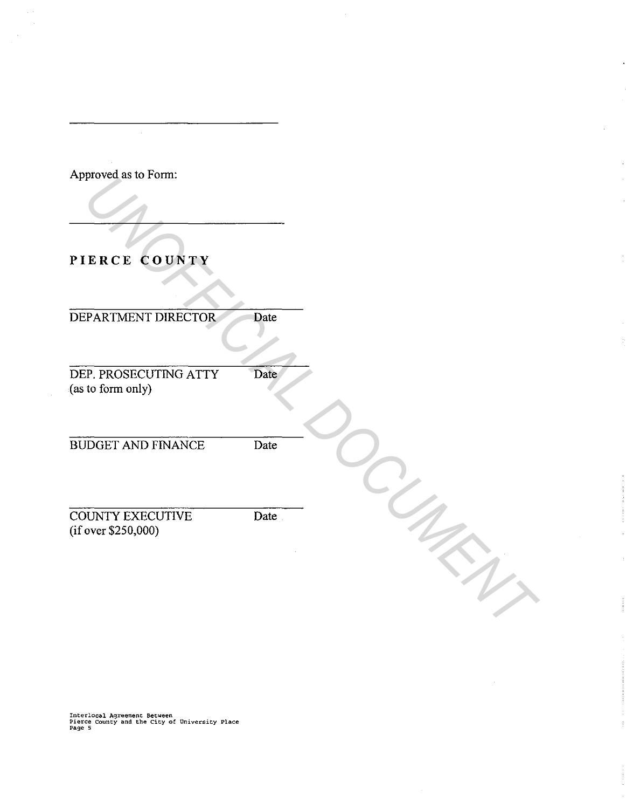Approved as to Form:

**PIERCE COUNTY** 

DEPARTMENT DIRECTOR Date

DEP. PROSECUTING ATTY Date (as to form only) PARTMENT DIRECTOR<br>
FARTMENT DIRECTOR<br>
TPARTMENT DIRECTOR<br>
TO C (DOM DIV)<br>
DOCUMENT AND FINANCE<br>
DIRECT AND FINANCE<br>
DATE DATE DATE

BUDGET AND FINANCE Date

COUNTY EXECUTIVE Date (if over \$250,000)

**Interlocal Agreement Between Pierce County and the City of University Place Page s**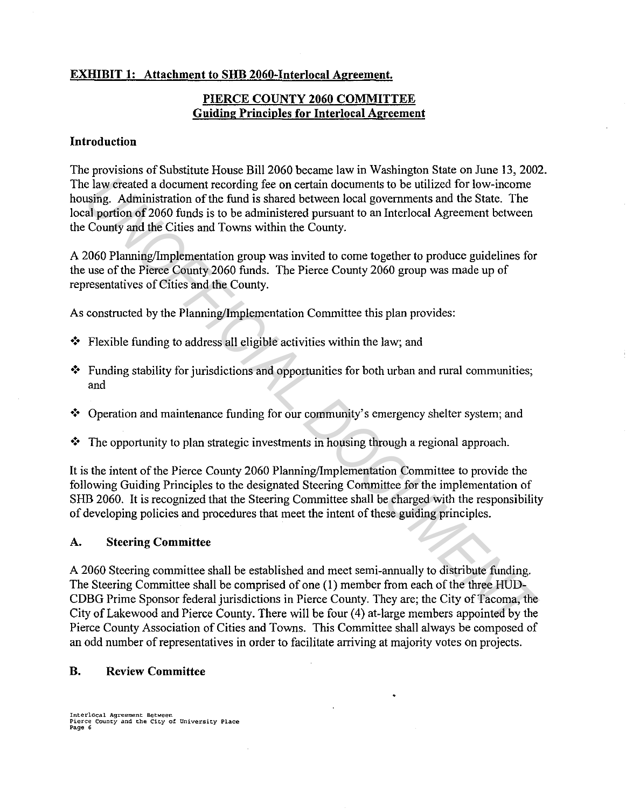#### **EXHIBIT 1: Attachment to SHB 2060-Interlocal Agreement.**

### **PIERCE COUNTY 2060 COMMITTEE Guiding Principles for Interlocal Agreement**

#### **Introduction**

The provisions of Substitute House Bill 2060 became law in Washington State on June 13, 2002. The law created a document recording fee on certain documents to be utilized for low-income housing. Administration of the fund is shared between local governments and the State. The local portion of 2060 funds is to be administered pursuant to an Interlocal Agreement between the County and the Cities and Towns within the County.

A 2060 Planning/Implementation group was invited to come together to produce guidelines for the use of the Pierce County 2060 funds. The Pierce County 2060 group was made up of representatives of Cities and the County.

As constructed by the Planning/Implementation Committee this plan provides:

- $\triangle$  Flexible funding to address all eligible activities within the law; and
- $\cdot \cdot$  Funding stability for jurisdictions and opportunities for both urban and rural communities; and
- Operation and maintenance funding for our community's emergency shelter system; and
- $\cdot \cdot \cdot$  The opportunity to plan strategic investments in housing through a regional approach.

It is the intent of the Pierce County 2060 Planning/Implementation Committee to provide the following Guiding Principles to the designated Steering Committee for the implementation of SHB 2060. It is recognized that the Steering Committee shall be charged with the responsibility of developing policies and procedures that meet the intent of these guiding principles.

#### **A. Steering Committee**

A 2060 Steering committee shall be established and meet semi-annually to distribute funding. The Steering Committee shall be comprised of one (I) member from each of the three HUD-CDBG Prime Sponsor federal jurisdictions in Pierce County. They are; the City of Tacoma, the City of Lakewood and Pierce County. There will be four (4) at-large members appointed by the Pierce County Association of Cities and Towns. This Committee shall always be composed of an odd number of representatives in order to facilitate arriving at majority votes on projects. **Example A alternation of the fund is shared documents to be utilized for low-income<br>ising. Administration of 2060 funds is to be salministered pursuant to an Interlocal Agreement state. The<br>altaportion of 2060 funds is to** 

#### **B. Review Committee**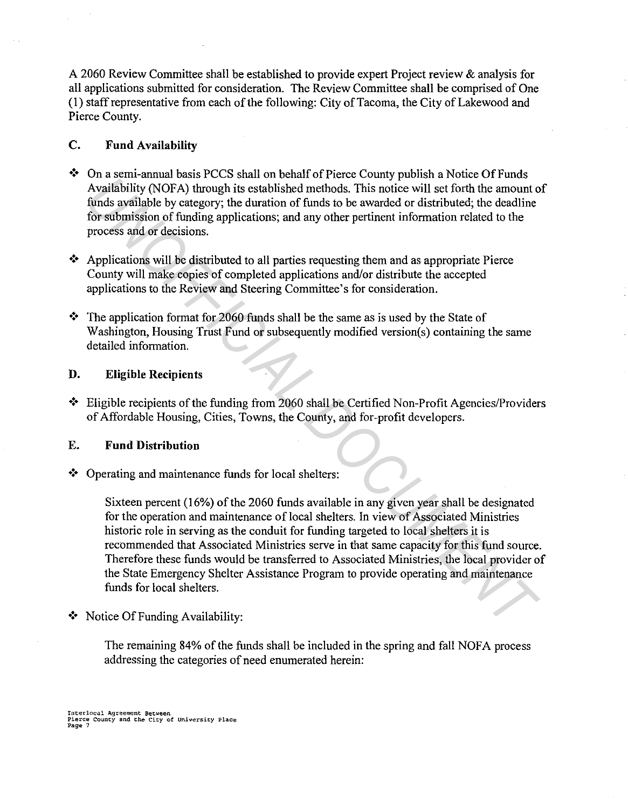A 2060 Review Committee shall be established to provide expert Project review & analysis for all applications submitted for consideration. The Review Committee shall be comprised of One (1) staff representative from each of the following: City of Tacoma, the City of Lakewood and Pierce County.

### **C. Fund Availability**

- On a semi-annual basis PCCS shall on behalf of Pierce County publish a Notice Of Funds Availability (NOFA) through its established methods. This notice will set forth the amount of funds available by category; the duration of funds to be awarded or distributed; the deadline for submission of funding applications; and any other pertinent information related to the process and or decisions.
- $\triangleleft$  Applications will be distributed to all parties requesting them and as appropriate Pierce County will make copies of completed applications and/or distribute the accepted applications to the Review and Steering Committee's for consideration.
- $\cdot \cdot$  The application format for 2060 funds shall be the same as is used by the State of Washington, Housing Trust Fund or subsequently modified version(s) containing the same detailed information.

#### **D. Eligible Recipients**

 $\cdot \cdot$  Eligible recipients of the funding from 2060 shall be Certified Non-Profit Agencies/Providers of Affordable Housing, Cities, Towns, the County, and for-profit developers.

#### **E. Fund Distribution**

 $\triangle$  Operating and maintenance funds for local shelters:

Sixteen percent (16%) of the 2060 funds available in any given year shall be designated for the operation and maintenance of local shelters. In view of Associated Ministries historic role in serving as the conduit for funding targeted to local shelters it is recommended that Associated Ministries serve in that same capacity for this fund source. Therefore these funds would be transferred to Associated Ministries, the local provider of the State Emergency Shelter Assistance Program to provide operating and maintenance funds for local shelters. on a solution today is Coto station or other or interested of the station of the station of the station of this notice will get forth the amount of two stations and product of this stabished methods. This notice will get f

• Notice Of Funding Availability:

The remaining 84% of the funds shall be included in the spring and fall NOFA process addressing the categories of need enumerated herein: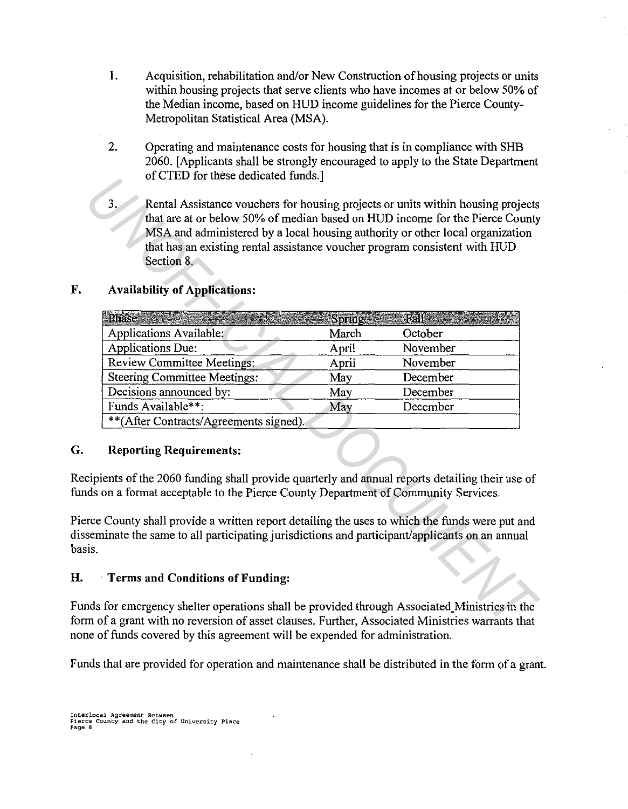- **1.** Acquisition, rehabilitation and/or New Construction of housing projects or units within housing projects that serve clients who have incomes at or below 50% of the Median income, based on HUD income guidelines for the Pierce County-Metropolitan Statistical Area (MSA).
- 2. Operating and maintenance costs for housing that is in compliance with SHB 2060. [Applicants shall be strongly encouraged to apply to the State Department of CTED for these dedicated funds.]
- 3. Rental Assistance vouchers for housing projects or units within housing projects that are at or below 50% of median based on HUD income for the Pierce County MSA and administered by a local housing authority or other local organization that has an existing rental assistance voucher program consistent with HUD Section 8.

### **F. Availability of Applications:**

|                                                                                                                                                                                                                      | 01 C LED TOT these dedicated funds.                                                                                                                                                                                                                                                                                                                                                   |        |             |  |
|----------------------------------------------------------------------------------------------------------------------------------------------------------------------------------------------------------------------|---------------------------------------------------------------------------------------------------------------------------------------------------------------------------------------------------------------------------------------------------------------------------------------------------------------------------------------------------------------------------------------|--------|-------------|--|
| 3.                                                                                                                                                                                                                   | Rental Assistance vouchers for housing projects or units within housing projects<br>that are at or below 50% of median based on HUD income for the Pierce County<br>MSA and administered by a local housing authority or other local organization<br>that has an existing rental assistance voucher program consistent with HUD<br>Section 8.<br><b>Availability of Applications:</b> |        |             |  |
|                                                                                                                                                                                                                      |                                                                                                                                                                                                                                                                                                                                                                                       |        |             |  |
| Phase                                                                                                                                                                                                                |                                                                                                                                                                                                                                                                                                                                                                                       | Spring | <b>Fall</b> |  |
|                                                                                                                                                                                                                      | Applications Available:                                                                                                                                                                                                                                                                                                                                                               | March  | October     |  |
|                                                                                                                                                                                                                      | <b>Applications Due:</b>                                                                                                                                                                                                                                                                                                                                                              | April  | November    |  |
|                                                                                                                                                                                                                      | <b>Review Committee Meetings:</b>                                                                                                                                                                                                                                                                                                                                                     | April  | November    |  |
|                                                                                                                                                                                                                      | <b>Steering Committee Meetings:</b>                                                                                                                                                                                                                                                                                                                                                   | May    | December    |  |
|                                                                                                                                                                                                                      | Decisions announced by:                                                                                                                                                                                                                                                                                                                                                               | May    | December    |  |
|                                                                                                                                                                                                                      | Funds Available**:                                                                                                                                                                                                                                                                                                                                                                    | May    | December    |  |
| **(After Contracts/Agreements signed).                                                                                                                                                                               |                                                                                                                                                                                                                                                                                                                                                                                       |        |             |  |
| <b>Reporting Requirements:</b><br>cipients of the 2060 funding shall provide quarterly and annual reports detailing their use of<br>ds on a format acceptable to the Pierce County Department of Community Services. |                                                                                                                                                                                                                                                                                                                                                                                       |        |             |  |
| is.                                                                                                                                                                                                                  | rce County shall provide a written report detailing the uses to which the funds were put and<br>seminate the same to all participating jurisdictions and participant/applicants on an annual                                                                                                                                                                                          |        |             |  |
| <b>Terms and Conditions of Funding:</b>                                                                                                                                                                              |                                                                                                                                                                                                                                                                                                                                                                                       |        |             |  |
|                                                                                                                                                                                                                      | nds for emergency shelter operations shall be provided through Associated Ministries in the<br>m of a grant with no reversion of asset clauses. Further, Associated Ministries warrants that                                                                                                                                                                                          |        |             |  |

### **G. Reporting Requirements:**

### **H. · Terms and Conditions of Funding:**

Funds for emergency shelter operations shall be provided through Associated\_Ministries in the form of a grant with no reversion of asset clauses. Further, Associated Ministries warrants that none of funds covered by this agreement will be expended for administration.

Funds that are provided for operation and maintenance shall be distributed in the form of a grant.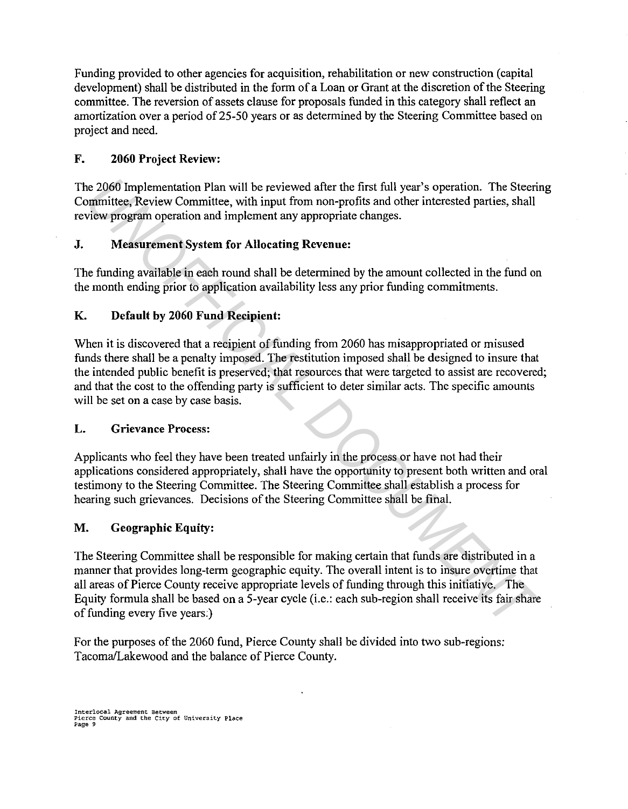Funding provided to other agencies for acquisition, rehabilitation or new construction (capital development) shall be distributed in the form of a Loan or Grant at the discretion of the Steering committee. The reversion of assets clause for proposals funded in this category shall reflect an amortization over a period of 25-50 years or as determined by the Steering Committee based on project and need.

# **F. 2060 Project Review:**

The 2060 Implementation Plan will be reviewed after the first full year's operation. The Steering Committee, Review Committee, with input from non-profits and other interested parties, shall review program operation and implement any appropriate changes.

## **J. Measurement System for Allocating Revenue:**

The funding available in each round shall be determined by the amount collected in the fund on the month ending prior to application availability less any prior funding commitments.

## **K. Default by 2060 Fund Recipient:**

When it is discovered that a recipient of funding from 2060 has misappropriated or misused funds there shall be a penalty imposed. The restitution imposed shall be designed to insure that the intended public benefit is preserved; that resources that were targeted to assist are recovered; and that the cost to the offending party is sufficient to deter similar acts. The specific amounts will be set on a case by case basis.

### **L. Grievance Process:**

Applicants who feel they have been treated unfairly in the process or have not had their applications considered appropriately, shall have the opportunity to present both written and oral testimony to the Steering Committee. The Steering Committee shall establish a process for hearing such grievances. Decisions of the Steering Committee shall be final.

### **M. Geographic Equity:**

The Steering Committee shall be responsible for making certain that funds are distributed in a manner that provides long-term geographic equity. The overall intent is to insure overtime that all areas of Pierce County receive appropriate levels of funding through this initiative. The Equity formula shall be based on a 5-year cycle (i.e.: each sub-region shall receive its fair share of funding every five years:) ie 2060 Implementation Plan will be reviewed after the first full year's operation. The Steering Mevily more to the interval more profits and other interested parties, shall wire to Review Committee, with input from non-pr

For the purposes of the 2060 fund, Pierce County shall be divided into two sub-regions: Tacoma/Lakewood and the balance of Pierce County.